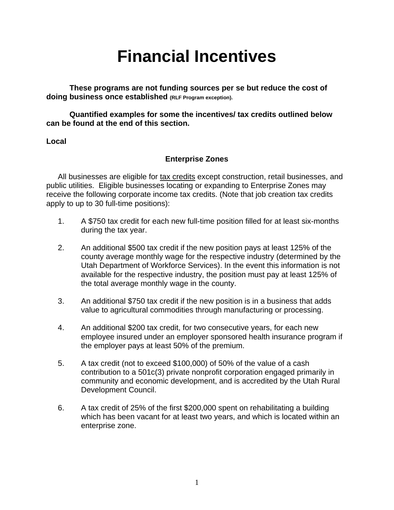# **Financial Incentives**

**These programs are not funding sources per se but reduce the cost of doing business once established (RLF Program exception).** 

**Quantified examples for some the incentives/ tax credits outlined below can be found at the end of this section.** 

#### **Local**

# **Enterprise Zones**

All businesses are eligible for tax credits except construction, retail businesses, and public utilities. Eligible businesses locating or expanding to Enterprise Zones may receive the following corporate income tax credits. (Note that job creation tax credits apply to up to 30 full-time positions):

- 1. A \$750 tax credit for each new full-time position filled for at least six-months during the tax year.
- 2. An additional \$500 tax credit if the new position pays at least 125% of the county average monthly wage for the respective industry (determined by the Utah Department of Workforce Services). In the event this information is not available for the respective industry, the position must pay at least 125% of the total average monthly wage in the county.
- 3. An additional \$750 tax credit if the new position is in a business that adds value to agricultural commodities through manufacturing or processing.
- 4. An additional \$200 tax credit, for two consecutive years, for each new employee insured under an employer sponsored health insurance program if the employer pays at least 50% of the premium.
- 5. A tax credit (not to exceed \$100,000) of 50% of the value of a cash contribution to a 501c(3) private nonprofit corporation engaged primarily in community and economic development, and is accredited by the Utah Rural Development Council.
- 6. A tax credit of 25% of the first \$200,000 spent on rehabilitating a building which has been vacant for at least two years, and which is located within an enterprise zone.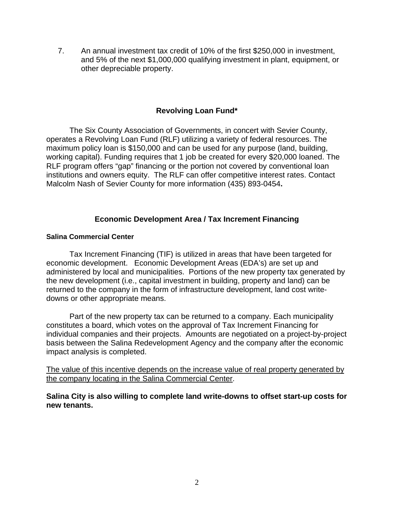7. An annual investment tax credit of 10% of the first \$250,000 in investment, and 5% of the next \$1,000,000 qualifying investment in plant, equipment, or other depreciable property.

## **Revolving Loan Fund\***

The Six County Association of Governments, in concert with Sevier County, operates a Revolving Loan Fund (RLF) utilizing a variety of federal resources. The maximum policy loan is \$150,000 and can be used for any purpose (land, building, working capital). Funding requires that 1 job be created for every \$20,000 loaned. The RLF program offers "gap" financing or the portion not covered by conventional loan institutions and owners equity. The RLF can offer competitive interest rates. Contact Malcolm Nash of Sevier County for more information (435) 893-0454**.** 

## **Economic Development Area / Tax Increment Financing**

#### **Salina Commercial Center**

Tax Increment Financing (TIF) is utilized in areas that have been targeted for economic development. Economic Development Areas (EDA's) are set up and administered by local and municipalities. Portions of the new property tax generated by the new development (i.e., capital investment in building, property and land) can be returned to the company in the form of infrastructure development, land cost writedowns or other appropriate means.

Part of the new property tax can be returned to a company. Each municipality constitutes a board, which votes on the approval of Tax Increment Financing for individual companies and their projects. Amounts are negotiated on a project-by-project basis between the Salina Redevelopment Agency and the company after the economic impact analysis is completed.

The value of this incentive depends on the increase value of real property generated by the company locating in the Salina Commercial Center.

**Salina City is also willing to complete land write-downs to offset start-up costs for new tenants.**